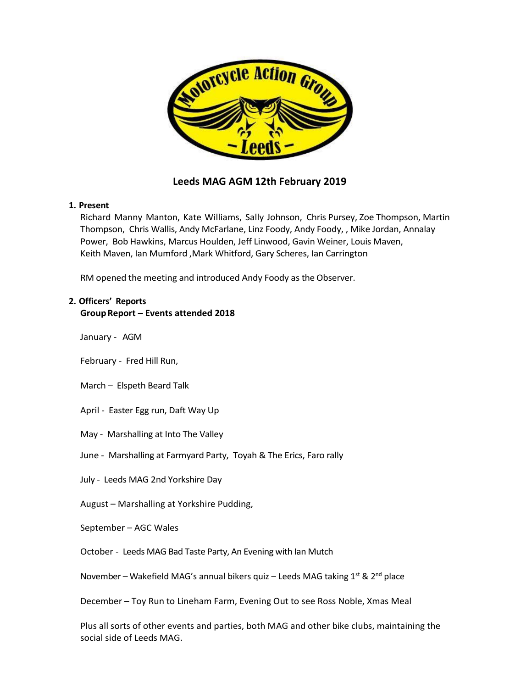

### **Leeds MAG AGM 12th February 2019**

### **1. Present**

Richard Manny Manton, Kate Williams, Sally Johnson, Chris Pursey, Zoe Thompson, Martin Thompson, Chris Wallis, Andy McFarlane, Linz Foody, Andy Foody, , Mike Jordan, Annalay Power, Bob Hawkins, Marcus Houlden, Jeff Linwood, Gavin Weiner, Louis Maven, Keith Maven, Ian Mumford ,Mark Whitford, Gary Scheres, Ian Carrington

RM opened the meeting and introduced Andy Foody as the Observer.

### **2. Officers' Reports**

### **GroupReport – Events attended 2018**

January - AGM

February - Fred Hill Run,

March – Elspeth Beard Talk

April - Easter Egg run, Daft Way Up

May - Marshalling at Into The Valley

June - Marshalling at Farmyard Party, Toyah & The Erics, Faro rally

July - Leeds MAG 2nd Yorkshire Day

August – Marshalling at Yorkshire Pudding,

September – AGC Wales

October - Leeds MAG Bad Taste Party, An Evening with Ian Mutch

November – Wakefield MAG's annual bikers quiz – Leeds MAG taking  $1^{st}$  &  $2^{nd}$  place

December – Toy Run to Lineham Farm, Evening Out to see Ross Noble, Xmas Meal

Plus all sorts of other events and parties, both MAG and other bike clubs, maintaining the social side of Leeds MAG.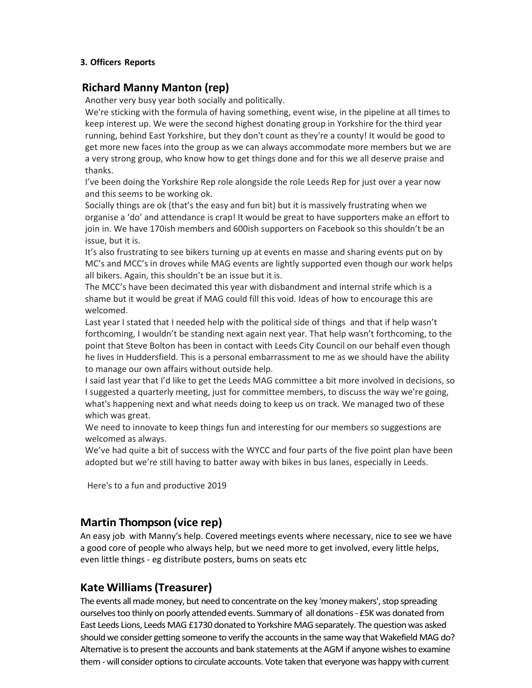### **3. Officers Reports**

### **Richard Manny Manton (rep)**

Another very busy year both socially and politically.

We're sticking with the formula of having something, event wise, in the pipeline at all times to keep interest up. We were the second highest donating group in Yorkshire for the third year running, behind East Yorkshire, but they don't count as they're a county! It would be good to get more new faces into the group as we can always accommodate more members but we are a very strong group, who know how to get things done and for this we all deserve praise and thanks.

I've been doing the Yorkshire Rep role alongside the role Leeds Rep for just over a year now and this seems to be working ok.

Socially things are ok (that's the easy and fun bit) but it is massively frustrating when we organise a 'do' and attendance is crap! It would be great to have supporters make an effort to join in. We have 170ish members and 600ish supporters on Facebook so this shouldn't be an issue, but it is.

It's also frustrating to see bikers turning up at events en masse and sharing events put on by MC's and MCC's in droves while MAG events are lightly supported even though our work helps all bikers. Again, this shouldn't be an issue but it is.

The MCC's have been decimated this year with disbandment and internal strife which is a shame but it would be great if MAG could fill this void. Ideas of how to encourage this are welcomed.

Last year I stated that I needed help with the political side of things and that if help wasn't forthcoming, I wouldn't be standing next again next year. That help wasn't forthcoming, to the point that Steve Bolton has been in contact with Leeds City Council on our behalf even though he lives in Huddersfield. This is a personal embarrassment to me as we should have the ability to manage our own affairs without outside help.

I said last year that I'd like to get the Leeds MAG committee a bit more involved in decisions, so I suggested a quarterly meeting, just for committee members, to discuss the way we're going, what's happening next and what needs doing to keep us on track. We managed two of these which was great.

We need to innovate to keep things fun and interesting for our members so suggestions are welcomed as always.

We've had quite a bit of success with the WYCC and four parts of the five point plan have been adopted but we're still having to batter away with bikes in bus lanes, especially in Leeds.

Here's to a fun and productive 2019

# **Martin Thompson (vice rep)**

An easy job with Manny's help. Covered meetings events where necessary, nice to see we have a good core of people who always help, but we need more to get involved, every little helps, even little things - eg distribute posters, bums on seats etc

### **Kate Williams(Treasurer)**

The events all made money, but need to concentrate on the key 'money makers', stop spreading ourselves too thinly on poorly attended events. Summary of all donations - £5K was donated from East Leeds Lions, Leeds MAG £1730 donated to Yorkshire MAG separately. The question was asked should we consider getting someone to verify the accounts in the same way that Wakefield MAG do? Alternative is to present the accounts and bank statements at the AGM if anyone wishes to examine them -will consider options to circulate accounts. Vote taken that everyone was happy with current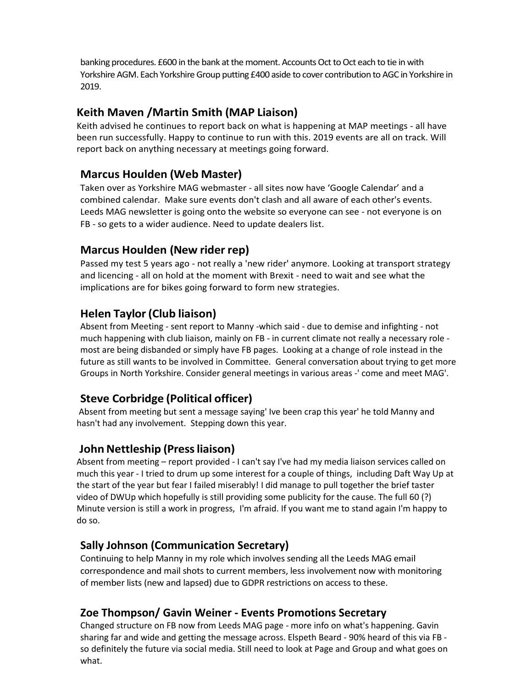banking procedures. £600 in the bank at the moment. Accounts Oct to Oct each to tie in with Yorkshire AGM. Each Yorkshire Group putting £400 aside to cover contribution to AGC in Yorkshire in 2019.

## **Keith Maven /Martin Smith (MAP Liaison)**

Keith advised he continues to report back on what is happening at MAP meetings - all have been run successfully. Happy to continue to run with this. 2019 events are all on track. Will report back on anything necessary at meetings going forward.

## **Marcus Houlden (Web Master)**

Taken over as Yorkshire MAG webmaster - all sites now have 'Google Calendar' and a combined calendar. Make sure events don't clash and all aware of each other's events. Leeds MAG newsletter is going onto the website so everyone can see - not everyone is on FB - so gets to a wider audience. Need to update dealers list.

# **Marcus Houlden (New rider rep)**

Passed my test 5 years ago - not really a 'new rider' anymore. Looking at transport strategy and licencing - all on hold at the moment with Brexit - need to wait and see what the implications are for bikes going forward to form new strategies.

# **Helen Taylor(Club liaison)**

Absent from Meeting - sent report to Manny -which said - due to demise and infighting - not much happening with club liaison, mainly on FB - in current climate not really a necessary role most are being disbanded or simply have FB pages. Looking at a change of role instead in the future as still wants to be involved in Committee. General conversation about trying to get more Groups in North Yorkshire. Consider general meetings in various areas -' come and meet MAG'.

# **Steve Corbridge (Political officer)**

Absent from meeting but sent a message saying' Ive been crap this year' he told Manny and hasn't had any involvement. Stepping down this year.

# **John Nettleship** (Press liaison)

Absent from meeting – report provided - I can't say I've had my media liaison services called on much this year - I tried to drum up some interest for a couple of things, including Daft Way Up at the start of the year but fear I failed miserably! I did manage to pull together the brief taster video of DWUp which hopefully is still providing some publicity for the cause. The full 60 (?) Minute version is still a work in progress, I'm afraid. If you want me to stand again I'm happy to do so.

# **Sally Johnson (Communication Secretary)**

Continuing to help Manny in my role which involves sending all the Leeds MAG email correspondence and mail shots to current members, less involvement now with monitoring of member lists (new and lapsed) due to GDPR restrictions on access to these.

# **Zoe Thompson/ Gavin Weiner - Events Promotions Secretary**

Changed structure on FB now from Leeds MAG page - more info on what's happening. Gavin sharing far and wide and getting the message across. Elspeth Beard - 90% heard of this via FB so definitely the future via social media. Still need to look at Page and Group and what goes on what.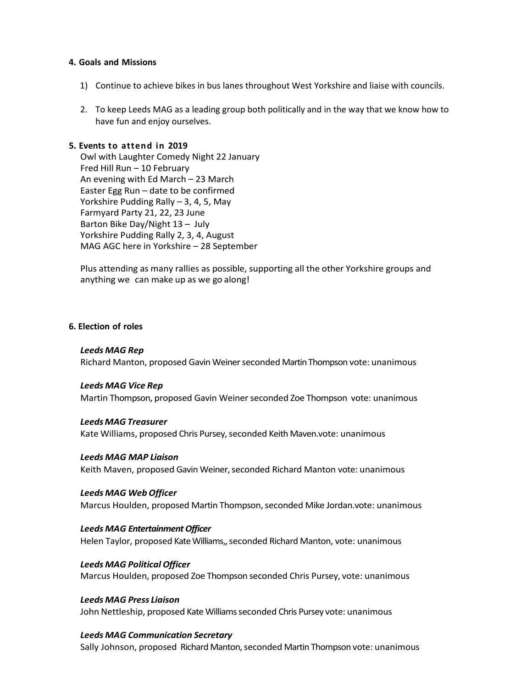#### **4. Goals and Missions**

- 1) Continue to achieve bikes in bus lanes throughout West Yorkshire and liaise with councils.
- 2. To keep Leeds MAG as a leading group both politically and in the way that we know how to have fun and enjoy ourselves.

### **5. Events to attend in 2019**

Owl with Laughter Comedy Night 22 January Fred Hill Run – 10 February An evening with Ed March – 23 March Easter Egg Run – date to be confirmed Yorkshire Pudding Rally – 3, 4, 5, May Farmyard Party 21, 22, 23 June Barton Bike Day/Night 13 – July Yorkshire Pudding Rally 2, 3, 4, August MAG AGC here in Yorkshire – 28 September

Plus attending as many rallies as possible, supporting all the other Yorkshire groups and anything we can make up as we go along!

#### **6. Election of roles**

#### *Leeds MAG Rep*

Richard Manton, proposed Gavin Weinerseconded Martin Thompson vote: unanimous

#### *Leeds MAG Vice Rep*

Martin Thompson, proposed Gavin Weinerseconded Zoe Thompson vote: unanimous

#### *Leeds MAG Treasurer*

Kate Williams, proposed Chris Pursey, seconded Keith Maven.vote: unanimous

#### *Leeds MAG MAP Liaison*

Keith Maven, proposed Gavin Weiner, seconded Richard Manton vote: unanimous

#### *Leeds MAG WebOfficer*

Marcus Houlden, proposed Martin Thompson, seconded Mike Jordan.vote: unanimous

#### **Leeds MAG Entertainment Officer**

Helen Taylor, proposed Kate Williams,, seconded Richard Manton, vote: unanimous

#### *Leeds MAG Political Officer*

Marcus Houlden, proposed Zoe Thompson seconded Chris Pursey, vote: unanimous

#### *Leeds MAG Press Liaison*

John Nettleship, proposed Kate Williams seconded Chris Pursey vote: unanimous

### *Leeds MAG Communication Secretary*

Sally Johnson, proposed Richard Manton, seconded Martin Thompson vote: unanimous